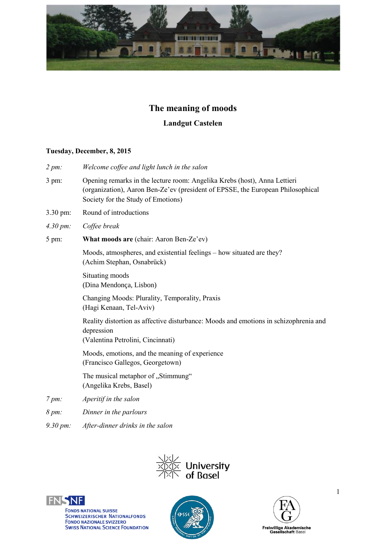

# **The meaning of moods**

# **Landgut Castelen**

#### **Tuesday, December, 8, 2015**

- *2 pm: Welcome coffee and light lunch in the salon*
- 3 pm: Opening remarks in the lecture room: Angelika Krebs (host), Anna Lettieri (organization), Aaron Ben-Ze'ev (president of EPSSE, the European Philosophical Society for the Study of Emotions)
- 3.30 pm: Round of introductions
- *4.30 pm: Coffee break*
- 5 pm: **What moods are** (chair: Aaron Ben-Ze'ev)

Moods, atmospheres, and existential feelings – how situated are they? (Achim Stephan, Osnabrück)

Situating moods (Dina Mendonça, Lisbon)

Changing Moods: Plurality, Temporality, Praxis (Hagi Kenaan, Tel-Aviv)

Reality distortion as affective disturbance: Moods and emotions in schizophrenia and depression

(Valentina Petrolini, Cincinnati)

Moods, emotions, and the meaning of experience (Francisco Gallegos, Georgetown)

The musical metaphor of "Stimmung" (Angelika Krebs, Basel)

- *7 pm: Aperitif in the salon*
- *8 pm: Dinner in the parlours*
- *9.30 pm: After-dinner drinks in the salon*







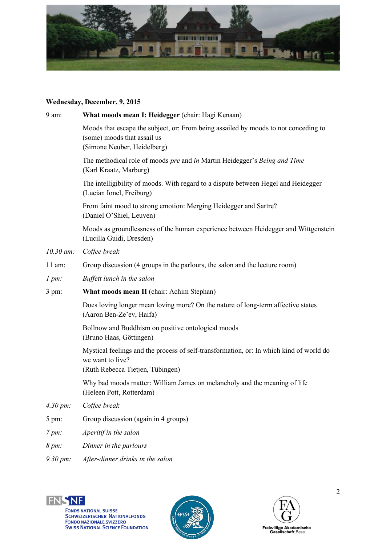

## **Wednesday, December, 9, 2015**

| 9 am:                 | What moods mean I: Heidegger (chair: Hagi Kenaan)                                                                                                 |
|-----------------------|---------------------------------------------------------------------------------------------------------------------------------------------------|
|                       | Moods that escape the subject, or: From being assailed by moods to not conceding to<br>(some) moods that assail us<br>(Simone Neuber, Heidelberg) |
|                       | The methodical role of moods pre and in Martin Heidegger's Being and Time<br>(Karl Kraatz, Marburg)                                               |
|                       | The intelligibility of moods. With regard to a dispute between Hegel and Heidegger<br>(Lucian Ionel, Freiburg)                                    |
|                       | From faint mood to strong emotion: Merging Heidegger and Sartre?<br>(Daniel O'Shiel, Leuven)                                                      |
|                       | Moods as groundlessness of the human experience between Heidegger and Wittgenstein<br>(Lucilla Guidi, Dresden)                                    |
| $10.30$ am:           | Coffee break                                                                                                                                      |
| $11$ am:              | Group discussion (4 groups in the parlours, the salon and the lecture room)                                                                       |
| 1 pm                  | Buffett lunch in the salon                                                                                                                        |
| 3 pm:                 | What moods mean II (chair: Achim Stephan)                                                                                                         |
|                       | Does loving longer mean loving more? On the nature of long-term affective states<br>(Aaron Ben-Ze'ev, Haifa)                                      |
|                       | Bollnow and Buddhism on positive ontological moods<br>(Bruno Haas, Göttingen)                                                                     |
|                       | Mystical feelings and the process of self-transformation, or: In which kind of world do<br>we want to live?<br>(Ruth Rebecca Tietjen, Tübingen)   |
|                       | Why bad moods matter: William James on melancholy and the meaning of life<br>(Heleen Pott, Rotterdam)                                             |
| $4.30 \, \text{pm}$ : | Coffee break                                                                                                                                      |
| 5 pm:                 | Group discussion (again in 4 groups)                                                                                                              |
| $7 \, \text{pm}$ :    | Aperitif in the salon                                                                                                                             |
| $8 \, \text{pm}$ :    | Dinner in the parlours                                                                                                                            |
| 9.30 pm:              | After-dinner drinks in the salon                                                                                                                  |